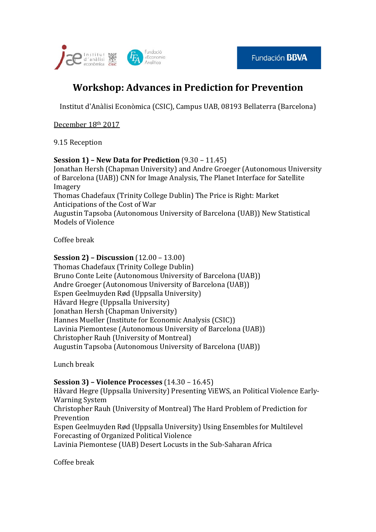

## **Workshop: Advances in Prediction for Prevention**

Institut d'Anàlisi Econòmica (CSIC), Campus UAB, 08193 Bellaterra (Barcelona)

December 18th 2017

9.15 Reception

## **Session 1) – New Data for Prediction** (9.30 – 11.45)

Jonathan Hersh (Chapman University) and Andre Groeger (Autonomous University of Barcelona (UAB)) CNN for Image Analysis, The Planet Interface for Satellite Imagery Thomas Chadefaux (Trinity College Dublin) The Price is Right: Market Anticipations of the Cost of War Augustin Tapsoba (Autonomous University of Barcelona (UAB)) New Statistical Models of Violence

Coffee break

## **Session 2) – Discussion** (12.00 – 13.00)

Thomas Chadefaux (Trinity College Dublin) Bruno Conte Leite (Autonomous University of Barcelona (UAB)) Andre Groeger (Autonomous University of Barcelona (UAB)) Espen Geelmuyden Rød (Uppsalla University) Håvard Hegre (Uppsalla University) Jonathan Hersh (Chapman University) Hannes Mueller (Institute for Economic Analysis (CSIC)) Lavinia Piemontese (Autonomous University of Barcelona (UAB)) Christopher Rauh (University of Montreal) Augustin Tapsoba (Autonomous University of Barcelona (UAB))

Lunch break

## **Session 3) – Violence Processes** (14.30 – 16.45)

Håvard Hegre (Uppsalla University) Presenting ViEWS, an Political Violence Early-Warning System

Christopher Rauh (University of Montreal) The Hard Problem of Prediction for Prevention

Espen Geelmuyden Rød (Uppsalla University) Using Ensembles for Multilevel Forecasting of Organized Political Violence

Lavinia Piemontese (UAB) Desert Locusts in the Sub-Saharan Africa

Coffee break